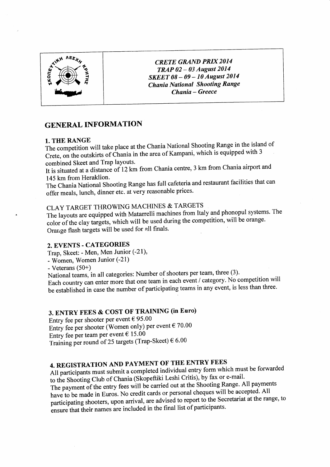

**CRETE GRAND PRIX 2014** TRAP 02 - 03 August 2014 SKEET 08 - 09 - 10 August 2014 **Chania National Shooting Range** Chania - Greece

# **GENERAL INFORMATION**

## 1. THE RANGE

The competition will take place at the Chania National Shooting Range in the island of Crete, on the outskirts of Chania in the area of Kampani, which is equipped with 3 combined Skeet and Trap layouts.

It is situated at a distance of 12 km from Chania centre, 3 km from Chania airport and 145 km from Heraklion.

The Chania National Shooting Range has full cafeteria and restaurant facilities that can offer meals, lunch, dinner etc. at very reasonable prices.

# CLAY TARGET THROWING MACHINES & TARGETS

The layouts are equipped with Matarrelli machines from Italy and phonopul systems. The color of the clay targets, which will be used during the competition, will be orange. Orange flash targets will be used for all finals.

# 2. EVENTS - CATEGORIES

Trap, Skeet: - Men, Men Junior (-21),

- Women, Women Junior (-21)

- Veterans  $(50+)$ 

National teams, in all categories: Number of shooters per team, three (3). Each country can enter more that one team in each event / category. No competition will be established in case the number of participating teams in any event, is less than three.

# 3. ENTRY FEES & COST OF TRAINING (in Euro)

Entry fee per shooter per event  $\epsilon$  95.00 Entry fee per shooter (Women only) per event  $\epsilon$  70.00 Entry fee per team per event  $\epsilon$  15.00 Training per round of 25 targets (Trap-Skeet)  $\epsilon$  6.00

# 4. REGISTRATION AND PAYMENT OF THE ENTRY FEES

All participants must submit a completed individual entry form which must be forwarded to the Shooting Club of Chania (Skopeftiki Leshi Critis), by fax or e-mail. The payment of the entry fees will be carried out at the Shooting Range. All payments have to be made in Euros. No credit cards or personal cheques will be accepted. All participating shooters, upon arrival, are advised to report to the Secretariat at the range, to ensure that their names are included in the final list of participants.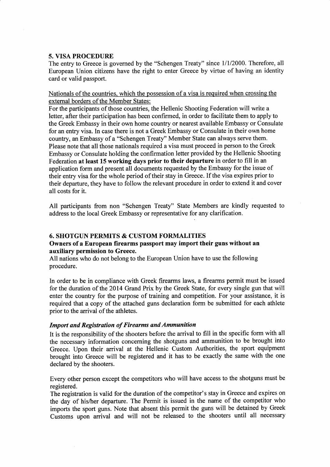## 5. vΙSA PROCEDURE

The entry to Greece is governed by the "Schengen Treaty" since  $1/1/2000$ . Therefore, all Eurοpean Uniοn οitizens have the right tο enter Greece by virtue οf having an identity card or valid passport.

Nationals of the countries, which the possession of a visa is required when crossing the external borders of the Member States:

For the participants of those countries, the HeΙlenic Shοoting Federation will write a letter, after their participation has been confirmed, in order to facilitate them to apply tο the Greek Embassy in their own home country or nearest available Embassy or Consulate for an entry visa. In case there is not a Greek Embassy or Consulate in their own home country, an Embassy of a "Schengen Treaty" Member State can always serve them. Please note that all those nationals required a visa must proceed in person to the Greek Embassy or Consulate holding the confirmation letter provided by the Hellenic Shooting Federation at least 15 working days priοr tο their departure in order to fill in an applicatiοn form and present all documents requested by the Embassy fοr the issue of their entry visa for the whole period of their stay in Greece. If the visa expires prior to their departure, they have to follοw the relevant procedure in order to extend it and cover all costs for it.

All participants from non "Schengen Treaty" State Members are kindly requested to address to the local Greek Embassy or representative for any clarification.

# 6. sΙΙoTGUN ΡERMΙTS & CUSTOM FORMALΙTΙES

## Owners of a European firearms passport may import their guns without an auxiΙiary permissiοn to Greece.

Αll nations who do not belong to the European Union have tο use the fοllowing procedure.

In order to be in compliance with Greek firearms laws, a firearms permit must be issued for the duration of the 2014 Grand Prix by the Greek State, for every single gun that will enter the country for the purpose of training and competition. For your assistance, it is required that a οοpy of the attached guns declaratiοn form be submitted for each athlete prior to the arival of the athletes.

#### Import and Registration of Firearms and Ammunition

Ιt is the responsibility of the shοoters befοre the arrival to fill in the specific form with all the necessary infοrmation concerning the shotguns and ammunition to be brought intο Greece. Upon their arrival at the Hellenic Custom Authorities, the sport equipment brοught intο Greece will be registered and it has to be exactly the same with the one declared by the shooters.

Every οther persοn exοept the competitors who will have access to the shotguns must be registered.

The registration is valid for the duration of the competitor's stay in Greece and expires on the day of his/her departure. The Permit is issued in the name of the competitor who impοrts the sport guns. Note that absent this permit the guns will be detained by Greek Customs upon arrival and will not be released to the shooters until all necessary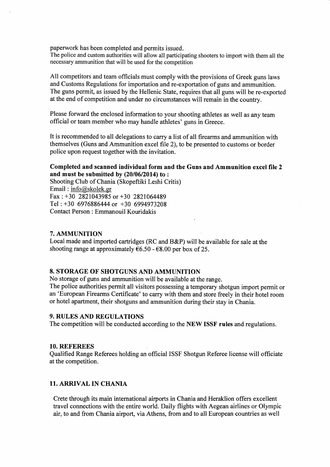paperwork has been completed and permits issued.

The police and custom authorities will allow all participating shooters to import with them all the necessary ammunition that will be used for the competition

All competitors and team officials must comply with the provisions of Greek guns laws and Customs Regulations for importation and re-exportation of guns and ammunition. The guns permit, as issued by the Hellenic State, requires that all guns will be re-exported at the end of competition and under no circumstances will remain in the country.

Please forward the enclosed information to your shooting athletes as well as any team official or team member who may handle athletes' guns in Greece.

It is recommended to all delegations to carry a list of all firearms and ammunition with themselves (Guns and Ammunition excel file 2), to be presented to customs or border police upon request together with the invitation.

#### Completed and scanned individual form and the Guns and Ammunition excel file 2 and must be submitted by  $(20/06/2014)$  to:

Shooting Club of Chania (Skopeftiki Leshi Critis) Email:  $info@skolek.gr$ Fax: +30 2821043985 or +30 2821064489 Tel: +30 6976886444 or +30 6994973208 Contact Person : Emmanouil Kouridakis

### 7. AMMUNITION

Local made and imported cartridges (RC and B&P) will be available for sale at the shooting range at approximately  $\epsilon$ 6.50 -  $\epsilon$ 8.00 per box of 25.

# **8. STORAGE OF SHOTGUNS AND AMMUNITION**

No storage of guns and ammunition will be available at the range.

The police authorities permit all visitors possessing a temporary shotgun import permit or an 'European Firearms Certificate' to carry with them and store freely in their hotel room or hotel apartment, their shotguns and ammunition during their stay in Chania.

# **9. RULES AND REGULATIONS**

The competition will be conducted according to the NEW ISSF rules and regulations.

#### 10. REFEREES

Qualified Range Referees holding an official ISSF Shotgun Referee license will officiate at the competition.

#### **11. ARRIVAL IN CHANIA**

Crete through its main international airports in Chania and Heraklion offers excellent travel connections with the entire world. Daily flights with Aegean airlines or Olympic air, to and from Chania airport, via Athens, from and to all European countries as well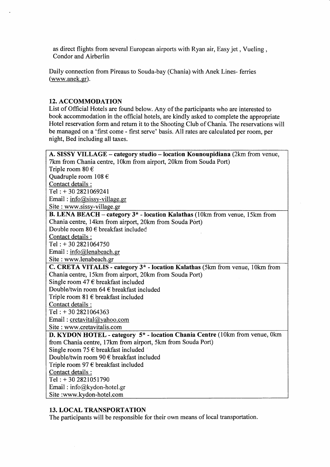as direct flights from several European airports with Ryan air, Easy jet, Vueling, Cοndor and Airberlin

Daily cοnnectiοn from Pireaus to Souda-bay (Chania) with Αnek Lines- ferries  $(www.anek.gr).$ 

## **12. ACCOMMODATION**

List of Official Hotels are found below. Any of the participants who are interested to book accommodation in the official hotels, are kindly asked to cοmplete the appropriate Hotel reservation form and return it to the Shooting Club of Chania. The reservations will be managed on a 'first come - first serve' basis. All rates are calculated per room, per night, Bed inοluding aΙl taxes.

| A. SISSY VILLAGE – category studio – location Kounoupidiana (2km from venue,            |
|-----------------------------------------------------------------------------------------|
| 7km from Chania centre, 10km from airport, 20km from Souda Port)                        |
| Triple room $80 \in$                                                                    |
| Quadruple room $108 \in$                                                                |
| Contact details :                                                                       |
| Tel: +30 2821069241                                                                     |
| Email: info@sissy-village.gr                                                            |
| Site : www.sissy-village.gr                                                             |
| B. LENA BEACH - category 3 <sup>*</sup> - location Kalathas (10km from venue, 15km from |
| Chania centre, 14km from airport, 20km from Souda Port)                                 |
| Double room $80 \in$ breakfast included                                                 |
| Contact details :                                                                       |
| Tel: $+302821064750$                                                                    |
| Email: $info@$ lenabeach.gr                                                             |
| Site: www.lenabeach.gr                                                                  |
| C. CRETA VITALIS - category 3* - location Kalathas (5km from venue, 10km from           |
| Chania centre, 15km from airport, 20km from Souda Port)                                 |
| Single room 47 $\epsilon$ breakfast included                                            |
| Double/twin room 64 $\epsilon$ breakfast included                                       |
| Triple room 81 $\epsilon$ breakfast included                                            |
| Contact details :                                                                       |
| Tel: $+302821064363$                                                                    |
| Email: $cretavital@yahoo.com$                                                           |
| Site: www.cretavitalis.com                                                              |
| D. KYDON HOTEL - category 5* - location Chania Centre (10km from venue, 0km             |
| from Chania centre, 17km from airport, 5km from Souda Port)                             |
| Single room 75 $\epsilon$ breakfast included                                            |
| Double/twin room 90 $\epsilon$ breakfast included                                       |
| Triple room 97 $\epsilon$ breakfast included                                            |
| Contact details :                                                                       |
| Tel: $+302821051790$                                                                    |
| Email: $info@kydon-hotel.gr$                                                            |
| Site :www.kydon-hotel.com                                                               |
|                                                                                         |

# 13. LocAL TRΑNSPORTATΙON

The participants will be responsible for their own means οf local transpοrtatiοn.